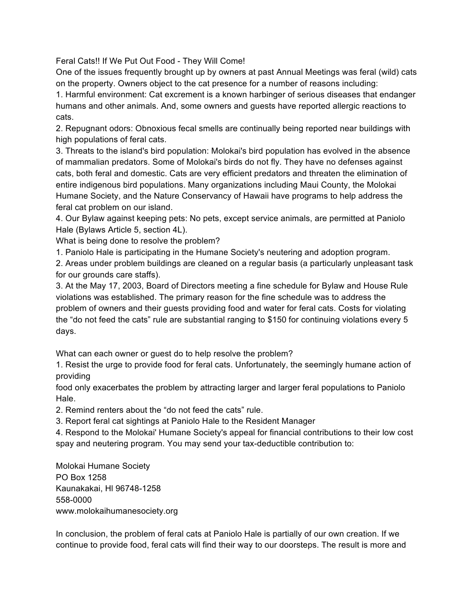Feral Cats!! If We Put Out Food - They Will Come!

One of the issues frequently brought up by owners at past Annual Meetings was feral (wild) cats on the property. Owners object to the cat presence for a number of reasons including:

1. Harmful environment: Cat excrement is a known harbinger of serious diseases that endanger humans and other animals. And, some owners and guests have reported allergic reactions to cats.

2. Repugnant odors: Obnoxious fecal smells are continually being reported near buildings with high populations of feral cats.

3. Threats to the island's bird population: Molokai's bird population has evolved in the absence of mammalian predators. Some of Molokai's birds do not fly. They have no defenses against cats, both feral and domestic. Cats are very efficient predators and threaten the elimination of entire indigenous bird populations. Many organizations including Maui County, the Molokai Humane Society, and the Nature Conservancy of Hawaii have programs to help address the feral cat problem on our island.

4. Our Bylaw against keeping pets: No pets, except service animals, are permitted at Paniolo Hale (Bylaws Article 5, section 4L).

What is being done to resolve the problem?

1. Paniolo Hale is participating in the Humane Society's neutering and adoption program.

2. Areas under problem buildings are cleaned on a regular basis (a particularly unpleasant task for our grounds care staffs).

3. At the May 17, 2003, Board of Directors meeting a fine schedule for Bylaw and House Rule violations was established. The primary reason for the fine schedule was to address the problem of owners and their guests providing food and water for feral cats. Costs for violating the "do not feed the cats" rule are substantial ranging to \$150 for continuing violations every 5 days.

What can each owner or guest do to help resolve the problem?

1. Resist the urge to provide food for feral cats. Unfortunately, the seemingly humane action of providing

food only exacerbates the problem by attracting larger and larger feral populations to Paniolo Hale.

2. Remind renters about the "do not feed the cats" rule.

3. Report feral cat sightings at Paniolo Hale to the Resident Manager

4. Respond to the Molokai' Humane Society's appeal for financial contributions to their low cost spay and neutering program. You may send your tax-deductible contribution to:

Molokai Humane Society PO Box 1258 Kaunakakai, Hl 96748-1258 558-0000 www.molokaihumanesociety.org

In conclusion, the problem of feral cats at Paniolo Hale is partially of our own creation. If we continue to provide food, feral cats will find their way to our doorsteps. The result is more and